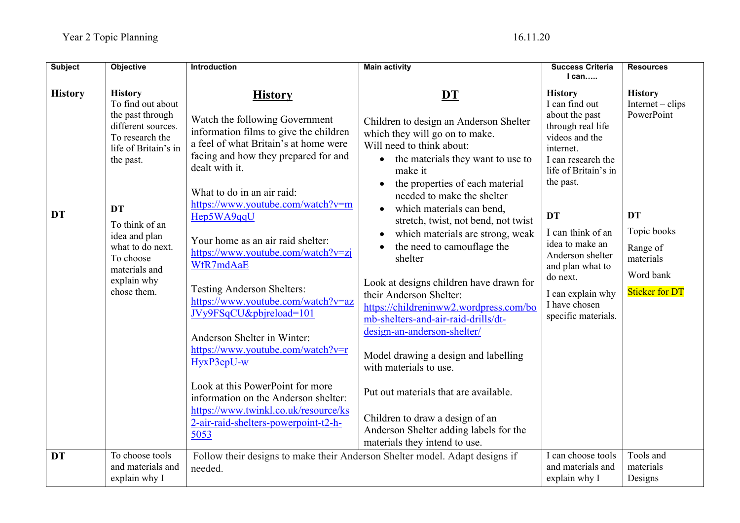| <b>Subject</b>              | <b>Objective</b>                                                                                                                                                                                                                                                      | Introduction                                                                                                                                                                                                                                                                                                                                                                                                                                                                                                                                                                                                                                                                       | <b>Main activity</b>                                                                                                                                                                                                                                                                                                                                                                                                                                                                                                                                                                                                                                                                                                           | <b>Success Criteria</b><br>$l$ can                                                                                                                                                                                                                                                                                                      | <b>Resources</b>                                                                                                                              |
|-----------------------------|-----------------------------------------------------------------------------------------------------------------------------------------------------------------------------------------------------------------------------------------------------------------------|------------------------------------------------------------------------------------------------------------------------------------------------------------------------------------------------------------------------------------------------------------------------------------------------------------------------------------------------------------------------------------------------------------------------------------------------------------------------------------------------------------------------------------------------------------------------------------------------------------------------------------------------------------------------------------|--------------------------------------------------------------------------------------------------------------------------------------------------------------------------------------------------------------------------------------------------------------------------------------------------------------------------------------------------------------------------------------------------------------------------------------------------------------------------------------------------------------------------------------------------------------------------------------------------------------------------------------------------------------------------------------------------------------------------------|-----------------------------------------------------------------------------------------------------------------------------------------------------------------------------------------------------------------------------------------------------------------------------------------------------------------------------------------|-----------------------------------------------------------------------------------------------------------------------------------------------|
|                             |                                                                                                                                                                                                                                                                       |                                                                                                                                                                                                                                                                                                                                                                                                                                                                                                                                                                                                                                                                                    |                                                                                                                                                                                                                                                                                                                                                                                                                                                                                                                                                                                                                                                                                                                                |                                                                                                                                                                                                                                                                                                                                         |                                                                                                                                               |
| <b>History</b><br><b>DT</b> | <b>History</b><br>To find out about<br>the past through<br>different sources.<br>To research the<br>life of Britain's in<br>the past.<br><b>DT</b><br>To think of an<br>idea and plan<br>what to do next.<br>To choose<br>materials and<br>explain why<br>chose them. | <b>History</b><br>Watch the following Government<br>information films to give the children<br>a feel of what Britain's at home were<br>facing and how they prepared for and<br>dealt with it.<br>What to do in an air raid:<br>https://www.youtube.com/watch?v=m<br>Hep5WA9qqU<br>Your home as an air raid shelter:<br>https://www.youtube.com/watch?v=zj<br>WfR7mdAaE<br><b>Testing Anderson Shelters:</b><br>https://www.youtube.com/watch?v=az<br>JVy9FSqCU&pbjreload=101<br>Anderson Shelter in Winter:<br>https://www.youtube.com/watch?v=r<br>HyxP3epU-w<br>Look at this PowerPoint for more<br>information on the Anderson shelter:<br>https://www.twinkl.co.uk/resource/ks | DT<br>Children to design an Anderson Shelter<br>which they will go on to make.<br>Will need to think about:<br>the materials they want to use to<br>make it<br>the properties of each material<br>$\bullet$<br>needed to make the shelter<br>which materials can bend,<br>stretch, twist, not bend, not twist<br>which materials are strong, weak<br>the need to camouflage the<br>shelter<br>Look at designs children have drawn for<br>their Anderson Shelter:<br>https://childreninww2.wordpress.com/bo<br>mb-shelters-and-air-raid-drills/dt-<br>design-an-anderson-shelter/<br>Model drawing a design and labelling<br>with materials to use.<br>Put out materials that are available.<br>Children to draw a design of an | <b>History</b><br>I can find out<br>about the past<br>through real life<br>videos and the<br>internet.<br>I can research the<br>life of Britain's in<br>the past.<br><b>DT</b><br>I can think of an<br>idea to make an<br>Anderson shelter<br>and plan what to<br>do next.<br>I can explain why<br>I have chosen<br>specific materials. | <b>History</b><br>$Internet - chips$<br>PowerPoint<br><b>DT</b><br>Topic books<br>Range of<br>materials<br>Word bank<br><b>Sticker for DT</b> |
|                             |                                                                                                                                                                                                                                                                       | 2-air-raid-shelters-powerpoint-t2-h-<br>5053                                                                                                                                                                                                                                                                                                                                                                                                                                                                                                                                                                                                                                       | Anderson Shelter adding labels for the<br>materials they intend to use.                                                                                                                                                                                                                                                                                                                                                                                                                                                                                                                                                                                                                                                        |                                                                                                                                                                                                                                                                                                                                         |                                                                                                                                               |
| <b>DT</b>                   | To choose tools<br>and materials and<br>explain why I                                                                                                                                                                                                                 | Follow their designs to make their Anderson Shelter model. Adapt designs if<br>needed.                                                                                                                                                                                                                                                                                                                                                                                                                                                                                                                                                                                             |                                                                                                                                                                                                                                                                                                                                                                                                                                                                                                                                                                                                                                                                                                                                | I can choose tools<br>and materials and<br>explain why I                                                                                                                                                                                                                                                                                | Tools and<br>materials<br>Designs                                                                                                             |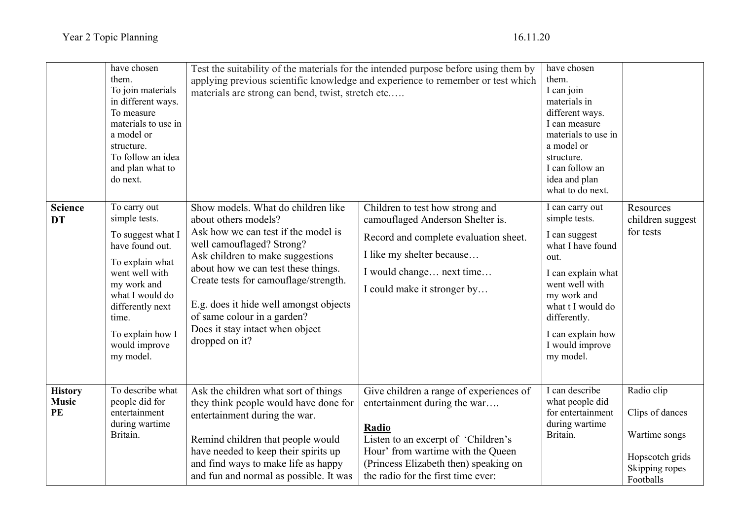| <b>Science</b>                       | have chosen<br>them.<br>To join materials<br>in different ways.<br>To measure<br>materials to use in<br>a model or<br>structure.<br>To follow an idea<br>and plan what to<br>do next.<br>To carry out       | Test the suitability of the materials for the intended purpose before using them by<br>applying previous scientific knowledge and experience to remember or test which<br>materials are strong can bend, twist, stretch etc<br>Show models. What do children like                                                                          |                                                                                                                                                                                                                                             | have chosen<br>them.<br>I can join<br>materials in<br>different ways.<br>I can measure<br>materials to use in<br>a model or<br>structure.<br>I can follow an<br>idea and plan<br>what to do next.<br>I can carry out | Resources                                                                                        |
|--------------------------------------|-------------------------------------------------------------------------------------------------------------------------------------------------------------------------------------------------------------|--------------------------------------------------------------------------------------------------------------------------------------------------------------------------------------------------------------------------------------------------------------------------------------------------------------------------------------------|---------------------------------------------------------------------------------------------------------------------------------------------------------------------------------------------------------------------------------------------|----------------------------------------------------------------------------------------------------------------------------------------------------------------------------------------------------------------------|--------------------------------------------------------------------------------------------------|
| <b>DT</b>                            | simple tests.<br>To suggest what I<br>have found out.<br>To explain what<br>went well with<br>my work and<br>what I would do<br>differently next<br>time.<br>To explain how I<br>would improve<br>my model. | about others models?<br>Ask how we can test if the model is<br>well camouflaged? Strong?<br>Ask children to make suggestions<br>about how we can test these things.<br>Create tests for camouflage/strength.<br>E.g. does it hide well amongst objects<br>of same colour in a garden?<br>Does it stay intact when object<br>dropped on it? | Children to test how strong and<br>camouflaged Anderson Shelter is.<br>Record and complete evaluation sheet.<br>I like my shelter because<br>I would change next time<br>I could make it stronger by                                        | simple tests.<br>I can suggest<br>what I have found<br>out.<br>I can explain what<br>went well with<br>my work and<br>what t I would do<br>differently.<br>I can explain how<br>I would improve<br>my model.         | children suggest<br>for tests                                                                    |
| <b>History</b><br><b>Music</b><br>PE | To describe what<br>people did for<br>entertainment<br>during wartime<br>Britain.                                                                                                                           | Ask the children what sort of things<br>they think people would have done for<br>entertainment during the war.<br>Remind children that people would<br>have needed to keep their spirits up<br>and find ways to make life as happy<br>and fun and normal as possible. It was                                                               | Give children a range of experiences of<br>entertainment during the war<br>Radio<br>Listen to an excerpt of 'Children's<br>Hour' from wartime with the Queen<br>(Princess Elizabeth then) speaking on<br>the radio for the first time ever: | I can describe<br>what people did<br>for entertainment<br>during wartime<br>Britain.                                                                                                                                 | Radio clip<br>Clips of dances<br>Wartime songs<br>Hopscotch grids<br>Skipping ropes<br>Footballs |